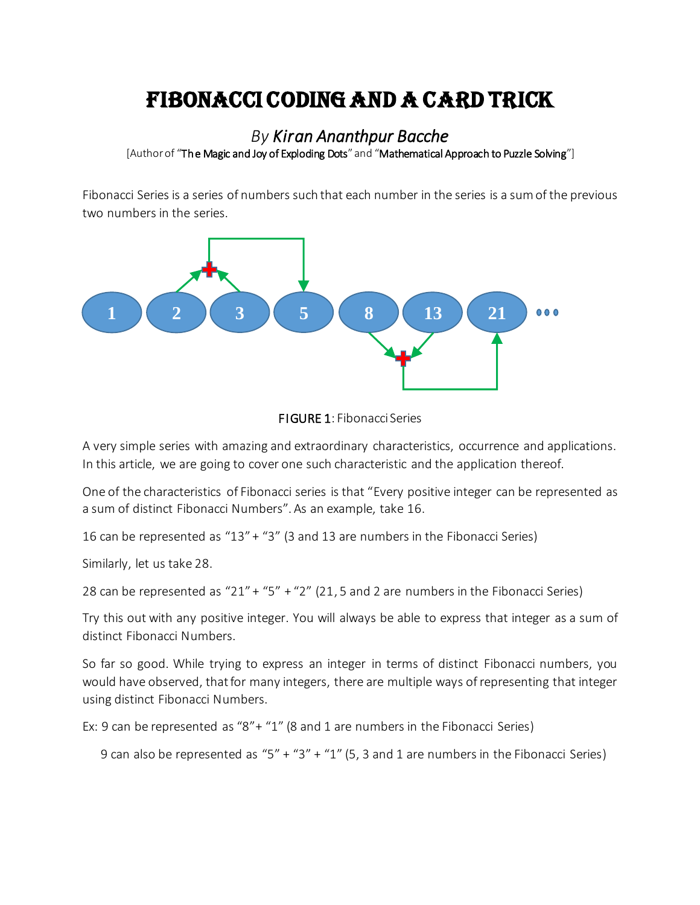# FIBONACCI CODING AND A CARD TRICK

## *By Kiran Ananthpur Bacche* [Author of "The Magic and Joy of Exploding Dots" and "Mathematical Approach to Puzzle Solving"]

Fibonacci Series is a series of numbers such that each number in the series is a sum of the previous two numbers in the series.





A very simple series with amazing and extraordinary characteristics, occurrence and applications. In this article, we are going to cover one such characteristic and the application thereof.

One of the characteristics of Fibonacci series is that "Every positive integer can be represented as a sum of distinct Fibonacci Numbers". As an example, take 16.

16 can be represented as "13" + "3" (3 and 13 are numbers in the Fibonacci Series)

Similarly, let us take 28.

28 can be represented as "21" + "5" + "2" (21, 5 and 2 are numbers in the Fibonacci Series)

Try this out with any positive integer. You will always be able to express that integer as a sum of distinct Fibonacci Numbers.

So far so good. While trying to express an integer in terms of distinct Fibonacci numbers, you would have observed, that for many integers, there are multiple ways of representing that integer using distinct Fibonacci Numbers.

Ex: 9 can be represented as "8"+ "1" (8 and 1 are numbers in the Fibonacci Series)

9 can also be represented as "5" + "3" + "1" (5, 3 and 1 are numbers in the Fibonacci Series)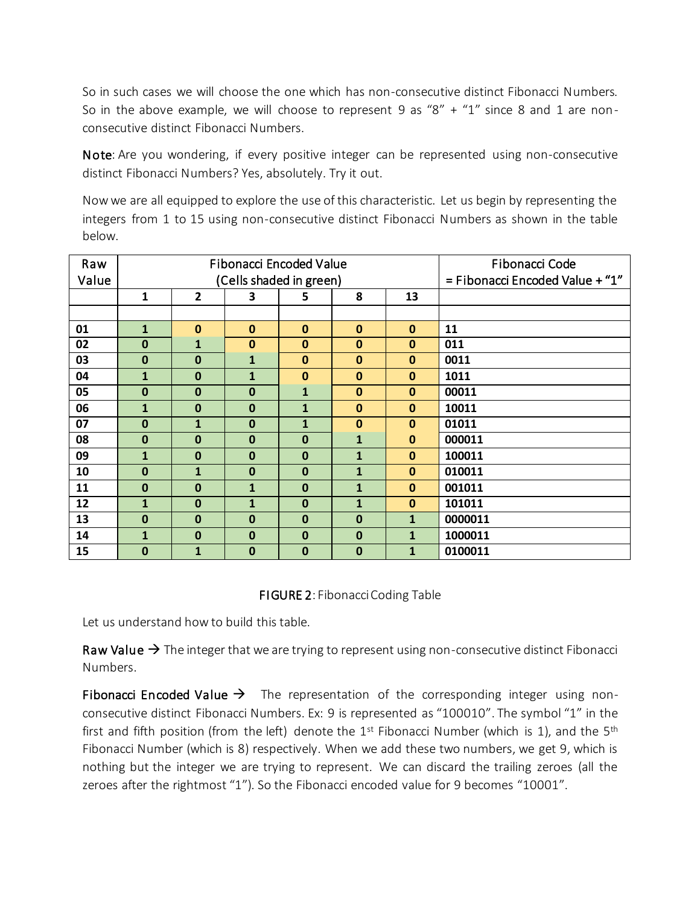So in such cases we will choose the one which has non-consecutive distinct Fibonacci Numbers. So in the above example, we will choose to represent 9 as "8" + "1" since 8 and 1 are nonconsecutive distinct Fibonacci Numbers.

Note: Are you wondering, if every positive integer can be represented using non-consecutive distinct Fibonacci Numbers? Yes, absolutely. Try it out.

Now we are all equipped to explore the use of this characteristic. Let us begin by representing the integers from 1 to 15 using non-consecutive distinct Fibonacci Numbers as shown in the table below.

| Raw   |              |                | <b>Fibonacci Encoded Value</b> | Fibonacci Code                  |              |              |         |  |  |
|-------|--------------|----------------|--------------------------------|---------------------------------|--------------|--------------|---------|--|--|
| Value |              |                | (Cells shaded in green)        | = Fibonacci Encoded Value + "1" |              |              |         |  |  |
|       | 1            | $\overline{2}$ | 3                              | 5                               | 8            | 13           |         |  |  |
|       |              |                |                                |                                 |              |              |         |  |  |
| 01    | 1            | $\bf{0}$       | $\bf{0}$                       | $\mathbf{0}$                    | $\mathbf 0$  | $\mathbf{0}$ | 11      |  |  |
| 02    | 0            | $\mathbf{1}$   | $\bf{0}$                       | $\mathbf 0$                     | $\mathbf{0}$ | $\mathbf 0$  | 011     |  |  |
| 03    | $\bf{0}$     | $\mathbf{0}$   | $\mathbf{1}$                   | $\mathbf{0}$                    | $\mathbf{0}$ | $\mathbf 0$  | 0011    |  |  |
| 04    | $\mathbf{1}$ | $\mathbf{0}$   | $\mathbf{1}$                   | $\bf{0}$                        | $\mathbf{0}$ | $\mathbf 0$  | 1011    |  |  |
| 05    | $\bf{0}$     | $\bf{0}$       | $\bf{0}$                       | 1                               | $\bf{0}$     | $\mathbf{0}$ | 00011   |  |  |
| 06    | $\mathbf{1}$ | $\bf{0}$       | $\bf{0}$                       | $\mathbf{1}$                    | $\bf{0}$     | $\mathbf{0}$ | 10011   |  |  |
| 07    | $\mathbf{0}$ | $\mathbf{1}$   | $\bf{0}$                       | $\mathbf{1}$                    | $\bf{0}$     | $\bf{0}$     | 01011   |  |  |
| 08    | $\mathbf{0}$ | $\mathbf{0}$   | $\bf{0}$                       | $\mathbf 0$                     | $\mathbf{1}$ | $\mathbf{0}$ | 000011  |  |  |
| 09    | $\mathbf{1}$ | $\mathbf{0}$   | $\bf{0}$                       | $\mathbf{0}$                    | $\mathbf{1}$ | $\mathbf{0}$ | 100011  |  |  |
| 10    | 0            | $\mathbf{1}$   | $\mathbf 0$                    | $\mathbf 0$                     | $\mathbf{1}$ | $\bf{0}$     | 010011  |  |  |
| 11    | 0            | $\mathbf{0}$   | $\mathbf{1}$                   | $\mathbf 0$                     | $\mathbf{1}$ | $\mathbf{0}$ | 001011  |  |  |
| 12    | $\mathbf{1}$ | $\bf{0}$       | $\mathbf{1}$                   | $\mathbf 0$                     | $\mathbf{1}$ | $\bf{0}$     | 101011  |  |  |
| 13    | 0            | $\bf{0}$       | $\mathbf 0$                    | $\mathbf 0$                     | $\bf{0}$     | $\mathbf{1}$ | 0000011 |  |  |
| 14    | $\mathbf{1}$ | $\mathbf{0}$   | $\mathbf 0$                    | $\mathbf 0$                     | $\mathbf 0$  | $\mathbf{1}$ | 1000011 |  |  |
| 15    | 0            | $\mathbf{1}$   | $\mathbf 0$                    | 0                               | $\bf{0}$     | $\mathbf{1}$ | 0100011 |  |  |

### FIGURE 2: Fibonacci Coding Table

Let us understand how to build this table.

Raw Value  $\rightarrow$  The integer that we are trying to represent using non-consecutive distinct Fibonacci Numbers.

Fibonacci Encoded Value  $\rightarrow$  The representation of the corresponding integer using nonconsecutive distinct Fibonacci Numbers. Ex: 9 is represented as "100010". The symbol "1" in the first and fifth position (from the left) denote the 1st Fibonacci Number (which is 1), and the 5<sup>th</sup> Fibonacci Number (which is 8) respectively. When we add these two numbers, we get 9, which is nothing but the integer we are trying to represent. We can discard the trailing zeroes (all the zeroes after the rightmost "1"). So the Fibonacci encoded value for 9 becomes "10001".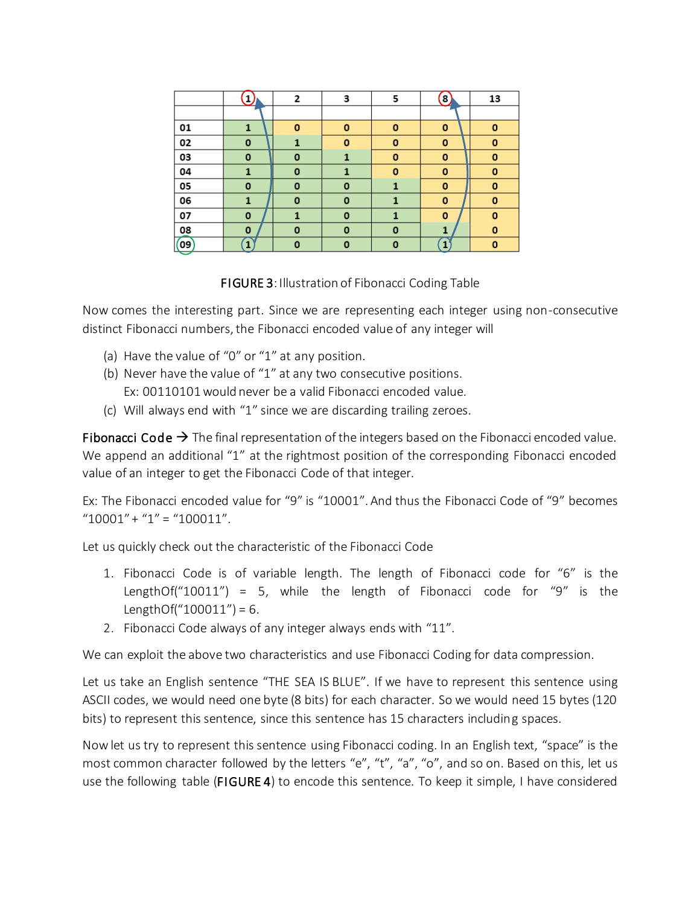|    |             | 2           | 3           | 5           | 8           | 13          |
|----|-------------|-------------|-------------|-------------|-------------|-------------|
|    |             |             |             |             |             |             |
| 01 | 1           | 0           | O           | 0           | 0           | 0           |
| 02 | $\mathbf 0$ | 1           | $\mathbf o$ | 0           | 0           | o           |
| 03 | O           | 0           | 1           | O           | 0           | o           |
| 04 | 1           | $\mathbf o$ |             | $\mathbf 0$ | $\mathbf 0$ | $\mathbf o$ |
| 05 | 0           | 0           | $\mathbf 0$ | 1           | 0           | o           |
| 06 | 1           | 0           | $\mathbf 0$ | 1           | 0           | 0           |
| 07 | $\mathbf o$ | 1           | O           | 1           | 0           | $\mathbf o$ |
| 08 | 0           | 0           | $\mathbf 0$ | 0           | 1           | 0           |
| 09 | 1           | O           | 0           | 0           | 1           | 0           |

FIGURE 3: Illustration of Fibonacci Coding Table

Now comes the interesting part. Since we are representing each integer using non-consecutive distinct Fibonacci numbers, the Fibonacci encoded value of any integer will

- (a) Have the value of "0" or "1" at any position.
- (b) Never have the value of "1" at any two consecutive positions. Ex: 00110101 would never be a valid Fibonacci encoded value.
- (c) Will always end with "1" since we are discarding trailing zeroes.

Fibonacci Code  $\rightarrow$  The final representation of the integers based on the Fibonacci encoded value. We append an additional "1" at the rightmost position of the corresponding Fibonacci encoded value of an integer to get the Fibonacci Code of that integer.

Ex: The Fibonacci encoded value for "9" is "10001". And thus the Fibonacci Code of "9" becomes  $"10001" + "1" = "100011".$ 

Let us quickly check out the characteristic of the Fibonacci Code

- 1. Fibonacci Code is of variable length. The length of Fibonacci code for "6" is the LengthOf("10011") = 5, while the length of Fibonacci code for "9" is the LengthOf(" $100011$ ") = 6.
- 2. Fibonacci Code always of any integer always ends with "11".

We can exploit the above two characteristics and use Fibonacci Coding for data compression.

Let us take an English sentence "THE SEA IS BLUE". If we have to represent this sentence using ASCII codes, we would need one byte (8 bits) for each character. So we would need 15 bytes (120 bits) to represent this sentence, since this sentence has 15 characters including spaces.

Now let us try to represent this sentence using Fibonacci coding. In an English text, "space" is the most common character followed by the letters "e", "t", "a", "o", and so on. Based on this, let us use the following table (FIGURE 4) to encode this sentence. To keep it simple, I have considered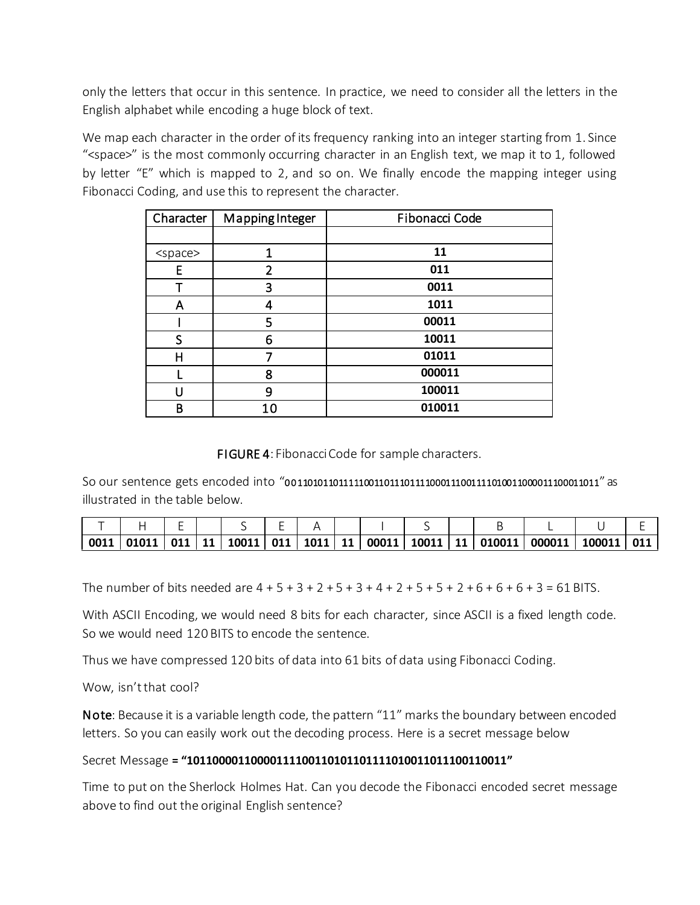only the letters that occur in this sentence. In practice, we need to consider all the letters in the English alphabet while encoding a huge block of text.

We map each character in the order of its frequency ranking into an integer starting from 1. Since "<space>" is the most commonly occurring character in an English text, we map it to 1, followed by letter "E" which is mapped to 2, and so on. We finally encode the mapping integer using Fibonacci Coding, and use this to represent the character.

| Character       | Mapping Integer | Fibonacci Code |
|-----------------|-----------------|----------------|
|                 |                 |                |
| <space></space> | 1               | 11             |
| Ε               | $\overline{2}$  | 011            |
|                 | 3               | 0011           |
| А               | 4               | 1011           |
|                 | 5               | 00011          |
| S               | 6               | 10011          |
| Η               | 7               | 01011          |
|                 | 8               | 000011         |
|                 | 9               | 100011         |
| В               | 10              | 010011         |

FIGURE 4: Fibonacci Code for sample characters.

So our sentence gets encoded into "0 0 11010110111110011011101111000111001111010011000011100011011" as illustrated in the table below.

| $\mid$ 0011   01011 |  | 011   11   10011   011   1011   11 |  | $\vert 00011 \vert 10011 \vert 11 \vert$ |  | 010011 | 000011 | 100011 011 |  |
|---------------------|--|------------------------------------|--|------------------------------------------|--|--------|--------|------------|--|

The number of bits needed are  $4 + 5 + 3 + 2 + 5 + 3 + 4 + 2 + 5 + 5 + 2 + 6 + 6 + 6 + 3 = 61$  BITS.

With ASCII Encoding, we would need 8 bits for each character, since ASCII is a fixed length code. So we would need 120 BITS to encode the sentence.

Thus we have compressed 120 bits of data into 61 bits of data using Fibonacci Coding.

Wow, isn't that cool?

Note: Because it is a variable length code, the pattern "11" marks the boundary between encoded letters. So you can easily work out the decoding process. Here is a secret message below

#### Secret Message **= "10110000110000111100110101101111010011011100110011"**

Time to put on the Sherlock Holmes Hat. Can you decode the Fibonacci encoded secret message above to find out the original English sentence?